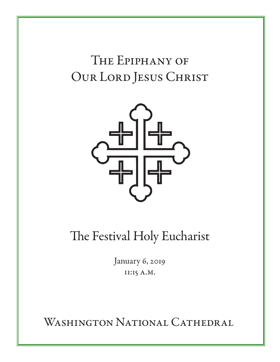# The Epiphany of Our Lord Jesus Christ



The Festival Holy Eucharist

January 6, 2019 11:15 A.M.

WASHINGTON NATIONAL CATHEDRAL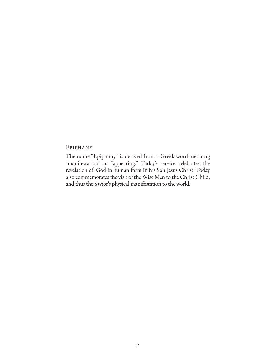#### Epiphany

The name "Epiphany" is derived from a Greek word meaning "manifestation" or "appearing." Today's service celebrates the revelation of God in human form in his Son Jesus Christ. Today also commemorates the visit of the Wise Men to the Christ Child, and thus the Savior's physical manifestation to the world.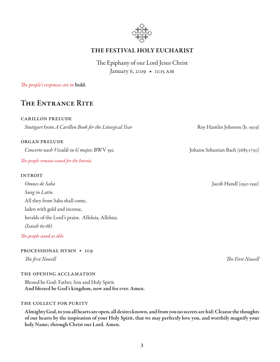

## THE FESTIVAL HOLY EUCHARIST

The Epiphany of our Lord Jesus Christ January 6, 2019 • 11:15 AM

#### *The people's responses are in* bold.

# The Entrance Rite

#### carillon prelude

*Stuttgart* from *A Carillon Book for the Liturgical Year* Roy Hamlin Johnson (b. 1929)

#### organ prelude

*Concerto nach Vivaldi in G major,* BWV 592 Johann Sebastian Bach (1685-1750) *The people remain seated for the Introit.*

#### **INTROIT**

*Omnes de Saba* Jacob Handl (1550-1591) *Sung in Latin.*  All they from Saba shall come, laden with gold and incense, heralds of the Lord's praise. Alleluia. Alleluia. *(Isaiah 60:6b)*

*The people stand as able.* 

#### processional hymn • 109

#### the opening acclamation

Blessed be God: Father, Son and Holy Spirit. And blessed be God's kingdom, now and for ever. Amen.

#### THE COLLECT FOR PURITY

Almighty God, to you all hearts are open, all desires known, and from you no secrets are hid: Cleanse the thoughts of our hearts by the inspiration of your Holy Spirit, that we may perfectly love you, and worthily magnify your holy Name; through Christ our Lord. Amen.

*The first Nowell The First Nowell*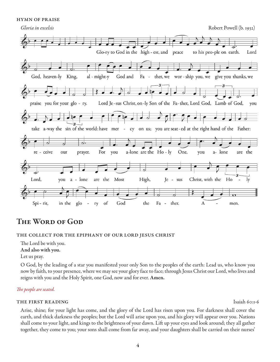hymn of praise



# The Word of God

#### the collect for the epiphany of our lord jesus christ

The Lord be with you.

And also with you.

Let us pray.

O God, by the leading of a star you manifested your only Son to the peoples of the earth: Lead us, who know you now by faith, to your presence, where we may see your glory face to face; through Jesus Christ our Lord, who lives and reigns with you and the Holy Spirit, one God, now and for ever. Amen.

#### *The people are seated.*

#### the first reading Isaiah 60:1-6

Arise, shine; for your light has come, and the glory of the Lord has risen upon you. For darkness shall cover the earth, and thick darkness the peoples; but the Lord will arise upon you, and his glory will appear over you. Nations shall come to your light, and kings to the brightness of your dawn. Lift up your eyes and look around; they all gather together, they come to you; your sons shall come from far away, and your daughters shall be carried on their nurses'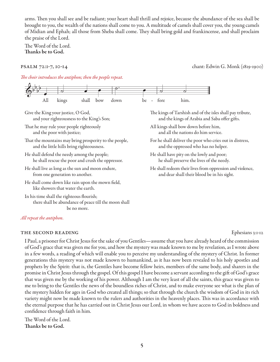arms. Then you shall see and be radiant; your heart shall thrill and rejoice, because the abundance of the sea shall be brought to you, the wealth of the nations shall come to you. A multitude of camels shall cover you, the young camels of Midian and Ephah; all those from Sheba shall come. They shall bring gold and frankincense, and shall proclaim the praise of the Lord.

The Word of the Lord. Thanks be to God.

psalm 72:1-7, 10-14 chant: Edwin G. Monk (1819-1900)

*The choir introduces the antiphon; then the people repeat.* 



Give the King your justice, O God, and your righteousness to the King's Son;

- That he may rule your people righteously and the poor with justice;
- That the mountains may bring prosperity to the people, and the little hills bring righteousness.
- He shall defend the needy among the people; he shall rescue the poor and crush the oppressor.
- He shall live as long as the sun and moon endure, from one generation to another.
- He shall come down like rain upon the mown field, like showers that water the earth.

In his time shall the righteous flourish; there shall be abundance of peace till the moon shall be no more.

#### *All repeat the antiphon.*

#### THE SECOND READING EPHENOLOGIC EPHENOLOGICAL EPHESIANS 3:1-12

The kings of Tarshish and of the isles shall pay tribute, and the kings of Arabia and Saba offer gifts.

- All kings shall bow down before him, and all the nations do him service.
- For he shall deliver the poor who cries out in distress, and the oppressed who has no helper.
- He shall have pity on the lowly and poor; he shall preserve the lives of the needy.
- He shall redeem their lives from oppression and violence, and dear shall their blood be in his sight.

I Paul, a prisoner for Christ Jesus for the sake of you Gentiles—assume that you have already heard of the commission of God's grace that was given me for you, and how the mystery was made known to me by revelation, as I wrote above in a few words, a reading of which will enable you to perceive my understanding of the mystery of Christ. In former generations this mystery was not made known to humankind, as it has now been revealed to his holy apostles and prophets by the Spirit: that is, the Gentiles have become fellow heirs, members of the same body, and sharers in the promise in Christ Jesus through the gospel. Of this gospel I have become a servant according to the gift of God's grace that was given me by the working of his power. Although I am the very least of all the saints, this grace was given to me to bring to the Gentiles the news of the boundless riches of Christ, and to make everyone see what is the plan of the mystery hidden for ages in God who created all things; so that through the church the wisdom of God in its rich variety might now be made known to the rulers and authorities in the heavenly places. This was in accordance with the eternal purpose that he has carried out in Christ Jesus our Lord, in whom we have access to God in boldness and confidence through faith in him.

The Word of the Lord. Thanks be to God.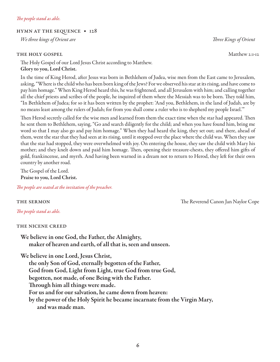#### hymn at the sequence • 128

*We three kings of Orient are Three Kings of Orient* 

#### THE HOLY GOSPEL Matthew 2:1-12

The Holy Gospel of our Lord Jesus Christ according to Matthew. Glory to you, Lord Christ.

In the time of King Herod, after Jesus was born in Bethlehem of Judea, wise men from the East came to Jerusalem, asking, "Where is the child who has been born king of the Jews? For we observed his star at its rising, and have come to pay him homage." When King Herod heard this, he was frightened, and all Jerusalem with him; and calling together all the chief priests and scribes of the people, he inquired of them where the Messiah was to be born. They told him, "In Bethlehem of Judea; for so it has been written by the prophet: 'And you, Bethlehem, in the land of Judah, are by no means least among the rulers of Judah; for from you shall come a ruler who is to shepherd my people Israel.'"

Then Herod secretly called for the wise men and learned from them the exact time when the star had appeared. Then he sent them to Bethlehem, saying, "Go and search diligently for the child; and when you have found him, bring me word so that I may also go and pay him homage." When they had heard the king, they set out; and there, ahead of them, went the star that they had seen at its rising, until it stopped over the place where the child was. When they saw that the star had stopped, they were overwhelmed with joy. On entering the house, they saw the child with Mary his mother; and they knelt down and paid him homage. Then, opening their treasure-chests, they offered him gifts of gold, frankincense, and myrrh. And having been warned in a dream not to return to Herod, they left for their own country by another road.

The Gospel of the Lord. Praise to you, Lord Christ.

*The people are seated at the invitation of the preacher.*

the sermon The Reverend Canon Jan Naylor Cope

*The people stand as able.* 

### the nicene creed

We believe in one God, the Father, the Almighty, maker of heaven and earth, of all that is, seen and unseen.

We believe in one Lord, Jesus Christ,

the only Son of God, eternally begotten of the Father, God from God, Light from Light, true God from true God, begotten, not made, of one Being with the Father. Through him all things were made. For us and for our salvation, he came down from heaven: by the power of the Holy Spirit he became incarnate from the Virgin Mary, and was made man.

6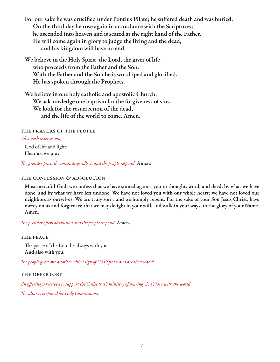For our sake he was crucified under Pontius Pilate; he suffered death and was buried. On the third day he rose again in accordance with the Scriptures; he ascended into heaven and is seated at the right hand of the Father. He will come again in glory to judge the living and the dead, and his kingdom will have no end.

We believe in the Holy Spirit, the Lord, the giver of life, who proceeds from the Father and the Son. With the Father and the Son he is worshiped and glorified. He has spoken through the Prophets.

We believe in one holy catholic and apostolic Church. We acknowledge one baptism for the forgiveness of sins. We look for the resurrection of the dead, and the life of the world to come. Amen.

the prayers of the people

#### *After each intercession,*

God of life and light: Hear us, we pray.

*The presider prays the concluding collect, and the people respond,* Amen.

### the confession *&* absolution

Most merciful God, we confess that we have sinned against you in thought, word, and deed, by what we have done, and by what we have left undone. We have not loved you with our whole heart; we have not loved our neighbors as ourselves. We are truly sorry and we humbly repent. For the sake of your Son Jesus Christ, have mercy on us and forgive us; that we may delight in your will, and walk in your ways, to the glory of your Name. Amen.

*The presider offers absolution and the people respond,* Amen.

#### THE PEACE

The peace of the Lord be always with you. And also with you.

*The people greet one another with a sign of God's peace and are then seated.*

### the offertory

*An offering is received to support the Cathedral's ministry of sharing God's love with the world. The altar is prepared for Holy Communion.*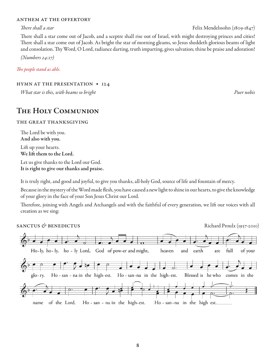#### anthem at the offertory

#### *There shall a star* Felix Mendelssohn (1809-1847)

There shall a star come out of Jacob, and a sceptre shall rise out of Israel, with might destroying princes and cities! There shall a star come out of Jacob. As bright the star of morning gleams, so Jesus sheddeth glorious beams of light and consolation. Thy Word, O Lord, radiance darting, truth imparting, gives salvation; thine be praise and adoration!

*(Numbers 24:17)*

*The people stand as able.* 

#### hymn at the presentation • 124

*What star is this, with beams so bright Puer nobis*

# The Holy Communion

#### the great thanksgiving

The Lord be with you. And also with you.

Lift up your hearts. We lift them to the Lord.

Let us give thanks to the Lord our God. It is right to give our thanks and praise.

It is truly right, and good and joyful, to give you thanks, all-holy God, source of life and fountain of mercy.

Because in the mystery of the Word made flesh, you have caused a new light to shine in our hearts, to give the knowledge of your glory in the face of your Son Jesus Christ our Lord.

Therefore, joining with Angels and Archangels and with the faithful of every generation, we lift our voices with all creation as we sing:

SANCTUS & BENEDICTUS **Richard Proulx (1937-2010)** 

|            |                          |  | Ho-ly, ho-ly, ho-ly Lord, God of pow-er and might,                             | heaven                                                | and | earth<br>are                                                   | full | of your      |
|------------|--------------------------|--|--------------------------------------------------------------------------------|-------------------------------------------------------|-----|----------------------------------------------------------------|------|--------------|
| $g$ lo-ry. |                          |  | $\overline{\phantom{a}}$ , $\overline{\phantom{a}}$ , $\overline{\phantom{a}}$ | Ho-san-na in the high-est. Ho-san-na in the high-est. |     | $\bullet$ . $\bullet$ $\bullet$ $\bullet$<br>Blessed is he who |      | comes in the |
| name       | $\overline{\phantom{a}}$ |  | ₽<br>of the Lord. Ho-san-na in the high-est.                                   |                                                       |     | Ho-san-na in the high est.                                     |      |              |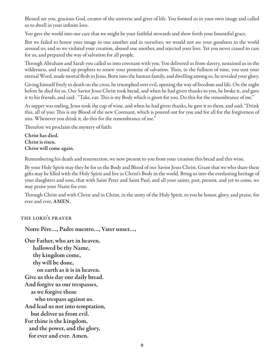Blessed are you, gracious God, creator of the universe and giver of life. You formed us in your own image and called us to dwell in your infinite love.

You gave the world into our care that we might be your faithful stewards and show forth your bountiful grace.

But we failed to honor your image in one another and in ourselves; we would not see your goodness in the world around us; and so we violated your creation, abused one another, and rejected your love. Yet you never ceased to care for us, and prepared the way of salvation for all people.

Through Abraham and Sarah you called us into covenant with you. You delivered us from slavery, sustained us in the wilderness, and raised up prophets to renew your promise of salvation. Then, in the fullness of time, you sent your eternal Word, made mortal flesh in Jesus. Born into the human family, and dwelling among us, he revealed your glory.

Giving himself freely to death on the cross, he triumphed over evil, opening the way of freedom and life. On the night before he died for us, Our Savior Jesus Christ took bread, and when he had given thanks to you, he broke it, and gave it to his friends, and said: "Take, eat: This is my Body which is given for you. Do this for the remembrance of me."

As supper was ending, Jesus took the cup of wine, and when he had given thanks, he gave it to them, and said: "Drink this, all of you: This is my Blood of the new Covenant, which is poured out for you and for all for the forgiveness of sins. Whenever you drink it, do this for the remembrance of me."

Therefore we proclaim the mystery of faith:

Christ has died. Christ is risen. Christ will come again.

Remembering his death and resurrection, we now present to you from your creation this bread and this wine.

By your Holy Spirit may they be for us the Body and Blood of our Savior Jesus Christ. Grant that we who share these gifts may be filled with the Holy Spirit and live as Christ's Body in the world. Bring us into the everlasting heritage of your daughters and sons, that with Saint Peter and Saint Paul, and all your saints, past, present, and yet to come, we may praise your Name for ever.

Through Christ and with Christ and in Christ, in the unity of the Holy Spirit, to you be honor, glory, and praise, for ever and ever. AMEN.

### the lord's prayer

Notre Père…, Padre nuestro…, Vater unser…,

Our Father, who art in heaven, hallowed be thy Name, thy kingdom come, thy will be done, on earth as it is in heaven. Give us this day our daily bread. And forgive us our trespasses, as we forgive those who trespass against us. And lead us not into temptation, but deliver us from evil. For thine is the kingdom, and the power, and the glory, for ever and ever. Amen.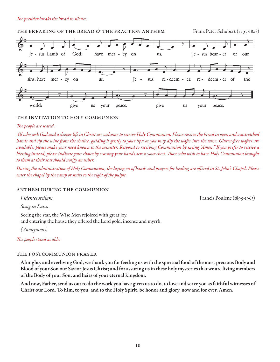#### *The presider breaks the bread in silence.*



#### the invitation to holy communion

#### *The people are seated.*

*All who seek God and a deeper life in Christ are welcome to receive Holy Communion. Please receive the bread in open and outstretched hands and sip the wine from the chalice, guiding it gently to your lips; or you may dip the wafer into the wine. Gluten-free wafers are available; please make your need known to the minister. Respond to receiving Communion by saying "Amen." If you prefer to receive a blessing instead, please indicate your choice by crossing your hands across your chest. Those who wish to have Holy Communion brought to them at their seat should notify an usher.* 

*During the administration of Holy Communion, the laying on of hands and prayers for healing are offered in St. John's Chapel. Please enter the chapel by the ramp or stairs to the right of the pulpit.*

#### anthem during the communion

*Sung in Latin.*

Seeing the star, the Wise Men rejoiced with great joy, and entering the house they offered the Lord gold, incense and myrrh.

*(Anonymous)*

*The people stand as able.* 

#### the postcommunion prayer

Almighty and everliving God, we thank you for feeding us with the spiritual food of the most precious Body and Blood of your Son our Savior Jesus Christ; and for assuring us in these holy mysteries that we are living members of the Body of your Son, and heirs of your eternal kingdom.

And now, Father, send us out to do the work you have given us to do, to love and serve you as faithful witnesses of Christ our Lord. To him, to you, and to the Holy Spirit, be honor and glory, now and for ever. Amen.

*Videntes stellam* Francis Poulenc (1899-1963)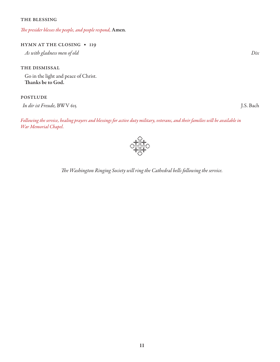#### THE BLESSING

*The presider blesses the people, and people respond,* Amen*.*

#### hymn at the closing • 119

*As with gladness men of old Dix*

THE DISMISSAL

Go in the light and peace of Christ. Thanks be to God.

#### **POSTLUDE**

*In dir ist Freude,* BWV 615 J.S. Bach

*Following the service, healing prayers and blessings for active duty military, veterans, and their families will be available in War Memorial Chapel.* 



*The Washington Ringing Society will ring the Cathedral bells following the service.*